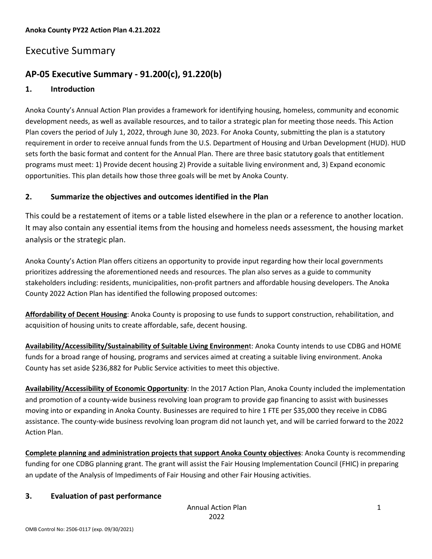#### **Anoka County PY22 Action Plan 4.21.2022**

## Executive Summary

## **AP-05 Executive Summary - 91.200(c), 91.220(b)**

#### **1. Introduction**

Anoka County's Annual Action Plan provides a framework for identifying housing, homeless, community and economic development needs, as well as available resources, and to tailor a strategic plan for meeting those needs. This Action Plan covers the period of July 1, 2022, through June 30, 2023. For Anoka County, submitting the plan is a statutory requirement in order to receive annual funds from the U.S. Department of Housing and Urban Development (HUD). HUD sets forth the basic format and content for the Annual Plan. There are three basic statutory goals that entitlement programs must meet: 1) Provide decent housing 2) Provide a suitable living environment and, 3) Expand economic opportunities. This plan details how those three goals will be met by Anoka County.

#### **2. Summarize the objectives and outcomes identified in the Plan**

This could be a restatement of items or a table listed elsewhere in the plan or a reference to another location. It may also contain any essential items from the housing and homeless needs assessment, the housing market analysis or the strategic plan.

Anoka County's Action Plan offers citizens an opportunity to provide input regarding how their local governments prioritizes addressing the aforementioned needs and resources. The plan also serves as a guide to community stakeholders including: residents, municipalities, non-profit partners and affordable housing developers. The Anoka County 2022 Action Plan has identified the following proposed outcomes:

**Affordability of Decent Housing**: Anoka County is proposing to use funds to support construction, rehabilitation, and acquisition of housing units to create affordable, safe, decent housing.

**Availability/Accessibility/Sustainability of Suitable Living Environmen**t: Anoka County intends to use CDBG and HOME funds for a broad range of housing, programs and services aimed at creating a suitable living environment. Anoka County has set aside \$236,882 for Public Service activities to meet this objective.

**Availability/Accessibility of Economic Opportunity**: In the 2017 Action Plan, Anoka County included the implementation and promotion of a county-wide business revolving loan program to provide gap financing to assist with businesses moving into or expanding in Anoka County. Businesses are required to hire 1 FTE per \$35,000 they receive in CDBG assistance. The county-wide business revolving loan program did not launch yet, and will be carried forward to the 2022 Action Plan.

**Complete planning and administration projects that support Anoka County objectives**: Anoka County is recommending funding for one CDBG planning grant. The grant will assist the Fair Housing Implementation Council (FHIC) in preparing an update of the Analysis of Impediments of Fair Housing and other Fair Housing activities.

#### **3. Evaluation of past performance**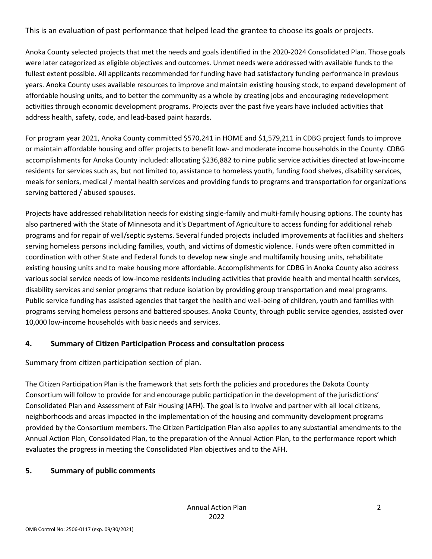This is an evaluation of past performance that helped lead the grantee to choose its goals or projects.

Anoka County selected projects that met the needs and goals identified in the 2020-2024 Consolidated Plan. Those goals were later categorized as eligible objectives and outcomes. Unmet needs were addressed with available funds to the fullest extent possible. All applicants recommended for funding have had satisfactory funding performance in previous years. Anoka County uses available resources to improve and maintain existing housing stock, to expand development of affordable housing units, and to better the community as a whole by creating jobs and encouraging redevelopment activities through economic development programs. Projects over the past five years have included activities that address health, safety, code, and lead-based paint hazards.

For program year 2021, Anoka County committed \$570,241 in HOME and \$1,579,211 in CDBG project funds to improve or maintain affordable housing and offer projects to benefit low- and moderate income households in the County. CDBG accomplishments for Anoka County included: allocating \$236,882 to nine public service activities directed at low-income residents for services such as, but not limited to, assistance to homeless youth, funding food shelves, disability services, meals for seniors, medical / mental health services and providing funds to programs and transportation for organizations serving battered / abused spouses.

Projects have addressed rehabilitation needs for existing single-family and multi-family housing options. The county has also partnered with the State of Minnesota and it's Department of Agriculture to access funding for additional rehab programs and for repair of well/septic systems. Several funded projects included improvements at facilities and shelters serving homeless persons including families, youth, and victims of domestic violence. Funds were often committed in coordination with other State and Federal funds to develop new single and multifamily housing units, rehabilitate existing housing units and to make housing more affordable. Accomplishments for CDBG in Anoka County also address various social service needs of low-income residents including activities that provide health and mental health services, disability services and senior programs that reduce isolation by providing group transportation and meal programs. Public service funding has assisted agencies that target the health and well-being of children, youth and families with programs serving homeless persons and battered spouses. Anoka County, through public service agencies, assisted over 10,000 low-income households with basic needs and services.

#### **4. Summary of Citizen Participation Process and consultation process**

Summary from citizen participation section of plan.

The Citizen Participation Plan is the framework that sets forth the policies and procedures the Dakota County Consortium will follow to provide for and encourage public participation in the development of the jurisdictions' Consolidated Plan and Assessment of Fair Housing (AFH). The goal is to involve and partner with all local citizens, neighborhoods and areas impacted in the implementation of the housing and community development programs provided by the Consortium members. The Citizen Participation Plan also applies to any substantial amendments to the Annual Action Plan, Consolidated Plan, to the preparation of the Annual Action Plan, to the performance report which evaluates the progress in meeting the Consolidated Plan objectives and to the AFH.

### **5. Summary of public comments**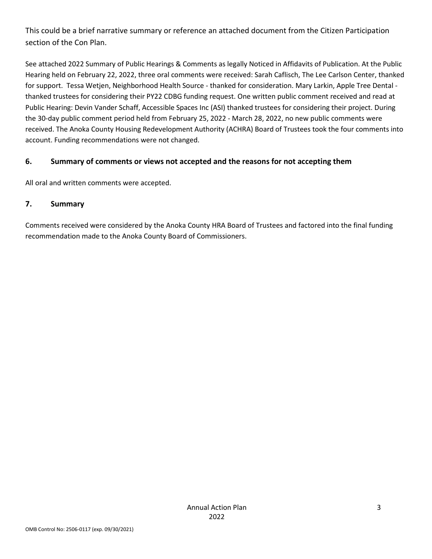This could be a brief narrative summary or reference an attached document from the Citizen Participation section of the Con Plan.

See attached 2022 Summary of Public Hearings & Comments as legally Noticed in Affidavits of Publication. At the Public Hearing held on February 22, 2022, three oral comments were received: Sarah Caflisch, The Lee Carlson Center, thanked for support. Tessa Wetjen, Neighborhood Health Source - thanked for consideration. Mary Larkin, Apple Tree Dental thanked trustees for considering their PY22 CDBG funding request. One written public comment received and read at Public Hearing: Devin Vander Schaff, Accessible Spaces Inc (ASI) thanked trustees for considering their project. During the 30-day public comment period held from February 25, 2022 - March 28, 2022, no new public comments were received. The Anoka County Housing Redevelopment Authority (ACHRA) Board of Trustees took the four comments into account. Funding recommendations were not changed.

#### **6. Summary of comments or views not accepted and the reasons for not accepting them**

All oral and written comments were accepted.

#### **7. Summary**

Comments received were considered by the Anoka County HRA Board of Trustees and factored into the final funding recommendation made to the Anoka County Board of Commissioners.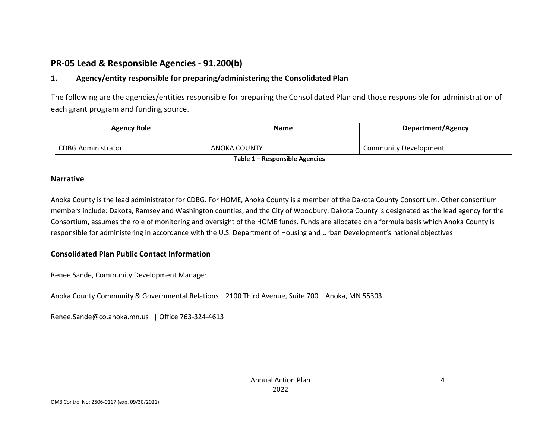## **PR-05 Lead & Responsible Agencies - 91.200(b)**

### **1. Agency/entity responsible for preparing/administering the Consolidated Plan**

The following are the agencies/entities responsible for preparing the Consolidated Plan and those responsible for administration of each grant program and funding source.

| <b>Agency Role</b>        | Name         | Department/Agency            |
|---------------------------|--------------|------------------------------|
|                           |              |                              |
| <b>CDBG Administrator</b> | ANOKA COUNTY | <b>Community Development</b> |

**Table 1 – Responsible Agencies**

#### **Narrative**

Anoka County is the lead administrator for CDBG. For HOME, Anoka County is a member of the Dakota County Consortium. Other consortium members include: Dakota, Ramsey and Washington counties, and the City of Woodbury. Dakota County is designated as the lead agency for the Consortium, assumes the role of monitoring and oversight of the HOME funds. Funds are allocated on a formula basis which Anoka County is responsible for administering in accordance with the U.S. Department of Housing and Urban Development's national objectives

#### **Consolidated Plan Public Contact Information**

Renee Sande, Community Development Manager

Anoka County Community & Governmental Relations | 2100 Third Avenue, Suite 700 | Anoka, MN 55303

Renee.Sande@co.anoka.mn.us | Office 763-324-4613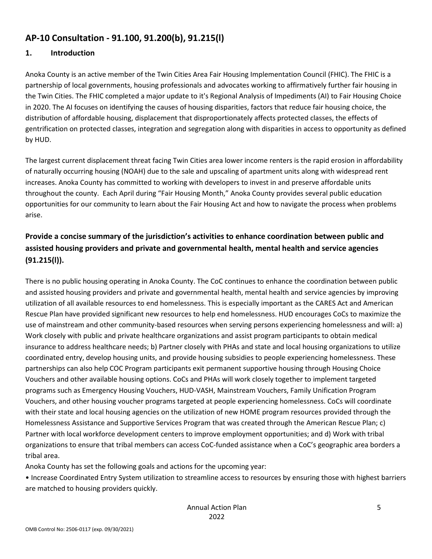## **AP-10 Consultation - 91.100, 91.200(b), 91.215(l)**

### **1. Introduction**

Anoka County is an active member of the Twin Cities Area Fair Housing Implementation Council (FHIC). The FHIC is a partnership of local governments, housing professionals and advocates working to affirmatively further fair housing in the Twin Cities. The FHIC completed a major update to it's Regional Analysis of Impediments (AI) to Fair Housing Choice in 2020. The AI focuses on identifying the causes of housing disparities, factors that reduce fair housing choice, the distribution of affordable housing, displacement that disproportionately affects protected classes, the effects of gentrification on protected classes, integration and segregation along with disparities in access to opportunity as defined by HUD.

The largest current displacement threat facing Twin Cities area lower income renters is the rapid erosion in affordability of naturally occurring housing (NOAH) due to the sale and upscaling of apartment units along with widespread rent increases. Anoka County has committed to working with developers to invest in and preserve affordable units throughout the county. Each April during "Fair Housing Month," Anoka County provides several public education opportunities for our community to learn about the Fair Housing Act and how to navigate the process when problems arise.

## **Provide a concise summary of the jurisdiction's activities to enhance coordination between public and assisted housing providers and private and governmental health, mental health and service agencies (91.215(l)).**

There is no public housing operating in Anoka County. The CoC continues to enhance the coordination between public and assisted housing providers and private and governmental health, mental health and service agencies by improving utilization of all available resources to end homelessness. This is especially important as the CARES Act and American Rescue Plan have provided significant new resources to help end homelessness. HUD encourages CoCs to maximize the use of mainstream and other community-based resources when serving persons experiencing homelessness and will: a) Work closely with public and private healthcare organizations and assist program participants to obtain medical insurance to address healthcare needs; b) Partner closely with PHAs and state and local housing organizations to utilize coordinated entry, develop housing units, and provide housing subsidies to people experiencing homelessness. These partnerships can also help COC Program participants exit permanent supportive housing through Housing Choice Vouchers and other available housing options. CoCs and PHAs will work closely together to implement targeted programs such as Emergency Housing Vouchers, HUD-VASH, Mainstream Vouchers, Family Unification Program Vouchers, and other housing voucher programs targeted at people experiencing homelessness. CoCs will coordinate with their state and local housing agencies on the utilization of new HOME program resources provided through the Homelessness Assistance and Supportive Services Program that was created through the American Rescue Plan; c) Partner with local workforce development centers to improve employment opportunities; and d) Work with tribal organizations to ensure that tribal members can access CoC-funded assistance when a CoC's geographic area borders a tribal area.

Anoka County has set the following goals and actions for the upcoming year:

• Increase Coordinated Entry System utilization to streamline access to resources by ensuring those with highest barriers are matched to housing providers quickly.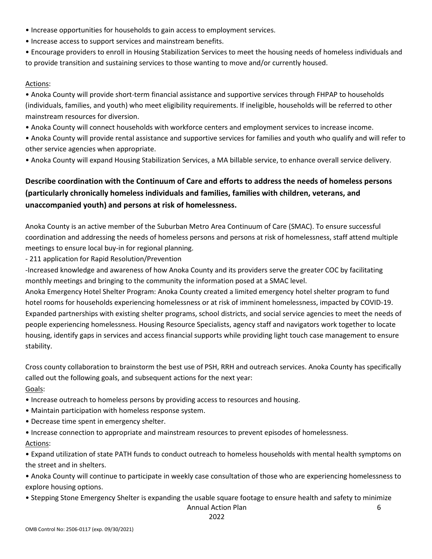- Increase opportunities for households to gain access to employment services.
- Increase access to support services and mainstream benefits.
- Encourage providers to enroll in Housing Stabilization Services to meet the housing needs of homeless individuals and to provide transition and sustaining services to those wanting to move and/or currently housed.

#### Actions:

• Anoka County will provide short-term financial assistance and supportive services through FHPAP to households (individuals, families, and youth) who meet eligibility requirements. If ineligible, households will be referred to other mainstream resources for diversion.

- Anoka County will connect households with workforce centers and employment services to increase income.
- Anoka County will provide rental assistance and supportive services for families and youth who qualify and will refer to other service agencies when appropriate.
- Anoka County will expand Housing Stabilization Services, a MA billable service, to enhance overall service delivery.

### **Describe coordination with the Continuum of Care and efforts to address the needs of homeless persons (particularly chronically homeless individuals and families, families with children, veterans, and unaccompanied youth) and persons at risk of homelessness.**

Anoka County is an active member of the Suburban Metro Area Continuum of Care (SMAC). To ensure successful coordination and addressing the needs of homeless persons and persons at risk of homelessness, staff attend multiple meetings to ensure local buy-in for regional planning.

- 211 application for Rapid Resolution/Prevention

-Increased knowledge and awareness of how Anoka County and its providers serve the greater COC by facilitating monthly meetings and bringing to the community the information posed at a SMAC level.

Anoka Emergency Hotel Shelter Program: Anoka County created a limited emergency hotel shelter program to fund hotel rooms for households experiencing homelessness or at risk of imminent homelessness, impacted by COVID-19. Expanded partnerships with existing shelter programs, school districts, and social service agencies to meet the needs of people experiencing homelessness. Housing Resource Specialists, agency staff and navigators work together to locate housing, identify gaps in services and access financial supports while providing light touch case management to ensure stability.

Cross county collaboration to brainstorm the best use of PSH, RRH and outreach services. Anoka County has specifically called out the following goals, and subsequent actions for the next year: Goals:

- Increase outreach to homeless persons by providing access to resources and housing.
- Maintain participation with homeless response system.
- Decrease time spent in emergency shelter.

• Increase connection to appropriate and mainstream resources to prevent episodes of homelessness. Actions:

• Expand utilization of state PATH funds to conduct outreach to homeless households with mental health symptoms on the street and in shelters.

- Anoka County will continue to participate in weekly case consultation of those who are experiencing homelessness to explore housing options.
- Stepping Stone Emergency Shelter is expanding the usable square footage to ensure health and safety to minimize

Annual Action Plan

6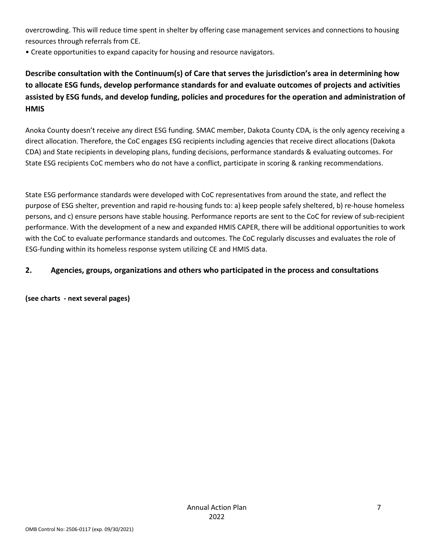overcrowding. This will reduce time spent in shelter by offering case management services and connections to housing resources through referrals from CE.

• Create opportunities to expand capacity for housing and resource navigators.

**Describe consultation with the Continuum(s) of Care that serves the jurisdiction's area in determining how to allocate ESG funds, develop performance standards for and evaluate outcomes of projects and activities assisted by ESG funds, and develop funding, policies and procedures for the operation and administration of HMIS**

Anoka County doesn't receive any direct ESG funding. SMAC member, Dakota County CDA, is the only agency receiving a direct allocation. Therefore, the CoC engages ESG recipients including agencies that receive direct allocations (Dakota CDA) and State recipients in developing plans, funding decisions, performance standards & evaluating outcomes. For State ESG recipients CoC members who do not have a conflict, participate in scoring & ranking recommendations.

State ESG performance standards were developed with CoC representatives from around the state, and reflect the purpose of ESG shelter, prevention and rapid re-housing funds to: a) keep people safely sheltered, b) re-house homeless persons, and c) ensure persons have stable housing. Performance reports are sent to the CoC for review of sub-recipient performance. With the development of a new and expanded HMIS CAPER, there will be additional opportunities to work with the CoC to evaluate performance standards and outcomes. The CoC regularly discusses and evaluates the role of ESG-funding within its homeless response system utilizing CE and HMIS data.

#### **2. Agencies, groups, organizations and others who participated in the process and consultations**

**(see charts - next several pages)**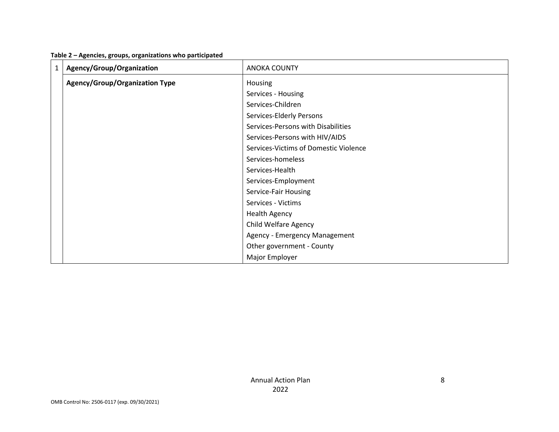| Table 2 - Agencies, groups, organizations who participated |  |  |  |  |  |  |
|------------------------------------------------------------|--|--|--|--|--|--|
|------------------------------------------------------------|--|--|--|--|--|--|

| $\mathbf{1}$ | Agency/Group/Organization             | <b>ANOKA COUNTY</b>                   |
|--------------|---------------------------------------|---------------------------------------|
|              | <b>Agency/Group/Organization Type</b> | Housing                               |
|              |                                       | Services - Housing                    |
|              |                                       | Services-Children                     |
|              |                                       | Services-Elderly Persons              |
|              |                                       | Services-Persons with Disabilities    |
|              |                                       | Services-Persons with HIV/AIDS        |
|              |                                       | Services-Victims of Domestic Violence |
|              |                                       | Services-homeless                     |
|              |                                       | Services-Health                       |
|              |                                       | Services-Employment                   |
|              |                                       | Service-Fair Housing                  |
|              |                                       | Services - Victims                    |
|              |                                       | <b>Health Agency</b>                  |
|              |                                       | Child Welfare Agency                  |
|              |                                       | Agency - Emergency Management         |
|              |                                       | Other government - County             |
|              |                                       | Major Employer                        |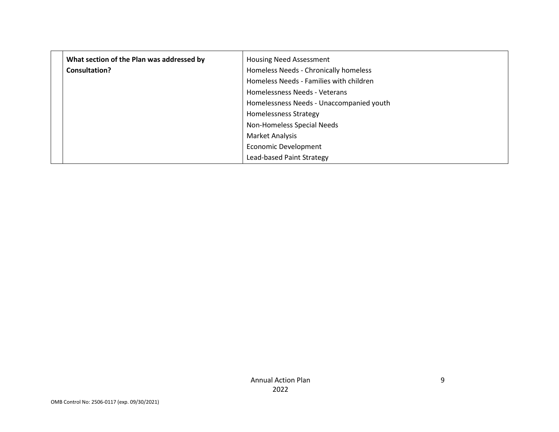| What section of the Plan was addressed by | <b>Housing Need Assessment</b>           |
|-------------------------------------------|------------------------------------------|
| Consultation?                             | Homeless Needs - Chronically homeless    |
|                                           | Homeless Needs - Families with children  |
|                                           | Homelessness Needs - Veterans            |
|                                           | Homelessness Needs - Unaccompanied youth |
|                                           | <b>Homelessness Strategy</b>             |
|                                           | Non-Homeless Special Needs               |
|                                           | Market Analysis                          |
|                                           | <b>Economic Development</b>              |
|                                           | Lead-based Paint Strategy                |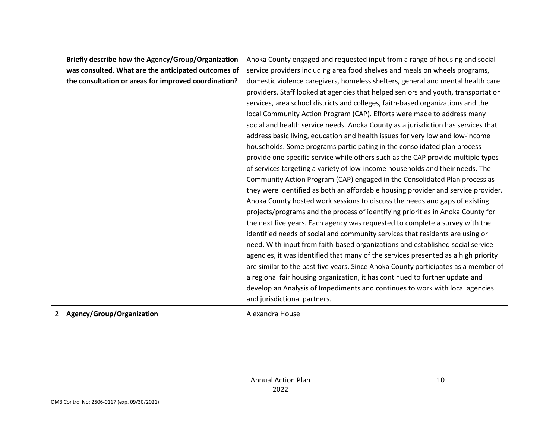|   | Briefly describe how the Agency/Group/Organization   | Anoka County engaged and requested input from a range of housing and social        |  |  |  |
|---|------------------------------------------------------|------------------------------------------------------------------------------------|--|--|--|
|   | was consulted. What are the anticipated outcomes of  | service providers including area food shelves and meals on wheels programs,        |  |  |  |
|   | the consultation or areas for improved coordination? | domestic violence caregivers, homeless shelters, general and mental health care    |  |  |  |
|   |                                                      | providers. Staff looked at agencies that helped seniors and youth, transportation  |  |  |  |
|   |                                                      | services, area school districts and colleges, faith-based organizations and the    |  |  |  |
|   |                                                      | local Community Action Program (CAP). Efforts were made to address many            |  |  |  |
|   |                                                      | social and health service needs. Anoka County as a jurisdiction has services that  |  |  |  |
|   |                                                      | address basic living, education and health issues for very low and low-income      |  |  |  |
|   |                                                      | households. Some programs participating in the consolidated plan process           |  |  |  |
|   |                                                      | provide one specific service while others such as the CAP provide multiple types   |  |  |  |
|   |                                                      | of services targeting a variety of low-income households and their needs. The      |  |  |  |
|   |                                                      | Community Action Program (CAP) engaged in the Consolidated Plan process as         |  |  |  |
|   |                                                      | they were identified as both an affordable housing provider and service provider.  |  |  |  |
|   |                                                      | Anoka County hosted work sessions to discuss the needs and gaps of existing        |  |  |  |
|   |                                                      | projects/programs and the process of identifying priorities in Anoka County for    |  |  |  |
|   |                                                      | the next five years. Each agency was requested to complete a survey with the       |  |  |  |
|   |                                                      | identified needs of social and community services that residents are using or      |  |  |  |
|   |                                                      | need. With input from faith-based organizations and established social service     |  |  |  |
|   |                                                      | agencies, it was identified that many of the services presented as a high priority |  |  |  |
|   |                                                      | are similar to the past five years. Since Anoka County participates as a member of |  |  |  |
|   |                                                      | a regional fair housing organization, it has continued to further update and       |  |  |  |
|   |                                                      | develop an Analysis of Impediments and continues to work with local agencies       |  |  |  |
|   |                                                      | and jurisdictional partners.                                                       |  |  |  |
| 2 | Agency/Group/Organization                            | Alexandra House                                                                    |  |  |  |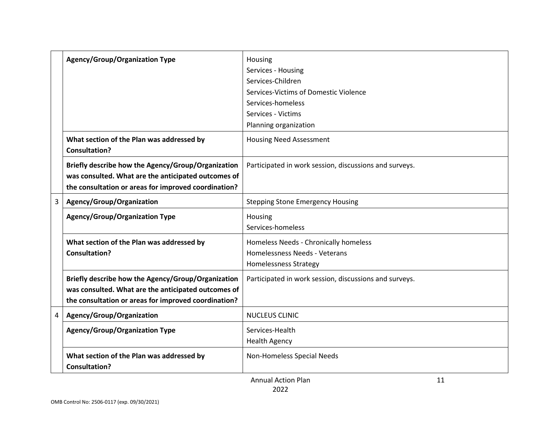|   | <b>Agency/Group/Organization Type</b>                                                                                                                             | Housing<br>Services - Housing<br>Services-Children<br>Services-Victims of Domestic Violence<br>Services-homeless<br>Services - Victims<br>Planning organization |
|---|-------------------------------------------------------------------------------------------------------------------------------------------------------------------|-----------------------------------------------------------------------------------------------------------------------------------------------------------------|
|   | What section of the Plan was addressed by<br><b>Consultation?</b>                                                                                                 | <b>Housing Need Assessment</b>                                                                                                                                  |
|   | Briefly describe how the Agency/Group/Organization<br>was consulted. What are the anticipated outcomes of<br>the consultation or areas for improved coordination? | Participated in work session, discussions and surveys.                                                                                                          |
| 3 | Agency/Group/Organization                                                                                                                                         | <b>Stepping Stone Emergency Housing</b>                                                                                                                         |
|   | <b>Agency/Group/Organization Type</b>                                                                                                                             | Housing<br>Services-homeless                                                                                                                                    |
|   | What section of the Plan was addressed by<br><b>Consultation?</b>                                                                                                 | Homeless Needs - Chronically homeless<br>Homelessness Needs - Veterans<br><b>Homelessness Strategy</b>                                                          |
|   | Briefly describe how the Agency/Group/Organization<br>was consulted. What are the anticipated outcomes of<br>the consultation or areas for improved coordination? | Participated in work session, discussions and surveys.                                                                                                          |
| 4 | Agency/Group/Organization                                                                                                                                         | NUCLEUS CLINIC                                                                                                                                                  |
|   | <b>Agency/Group/Organization Type</b>                                                                                                                             | Services-Health<br><b>Health Agency</b>                                                                                                                         |
|   | What section of the Plan was addressed by<br><b>Consultation?</b>                                                                                                 | Non-Homeless Special Needs                                                                                                                                      |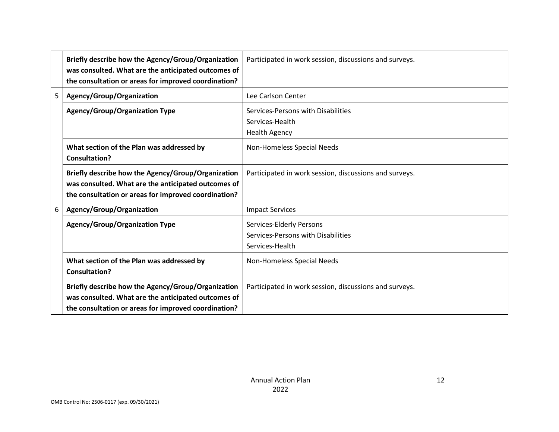|   | Briefly describe how the Agency/Group/Organization<br>was consulted. What are the anticipated outcomes of                                                         | Participated in work session, discussions and surveys.                            |
|---|-------------------------------------------------------------------------------------------------------------------------------------------------------------------|-----------------------------------------------------------------------------------|
|   | the consultation or areas for improved coordination?                                                                                                              |                                                                                   |
| 5 | Agency/Group/Organization                                                                                                                                         | Lee Carlson Center                                                                |
|   | <b>Agency/Group/Organization Type</b>                                                                                                                             | Services-Persons with Disabilities<br>Services-Health<br><b>Health Agency</b>     |
|   | What section of the Plan was addressed by<br><b>Consultation?</b>                                                                                                 | Non-Homeless Special Needs                                                        |
|   | Briefly describe how the Agency/Group/Organization<br>was consulted. What are the anticipated outcomes of<br>the consultation or areas for improved coordination? | Participated in work session, discussions and surveys.                            |
| 6 | Agency/Group/Organization                                                                                                                                         | <b>Impact Services</b>                                                            |
|   | <b>Agency/Group/Organization Type</b>                                                                                                                             | Services-Elderly Persons<br>Services-Persons with Disabilities<br>Services-Health |
|   | What section of the Plan was addressed by<br>Consultation?                                                                                                        | Non-Homeless Special Needs                                                        |
|   | Briefly describe how the Agency/Group/Organization<br>was consulted. What are the anticipated outcomes of<br>the consultation or areas for improved coordination? | Participated in work session, discussions and surveys.                            |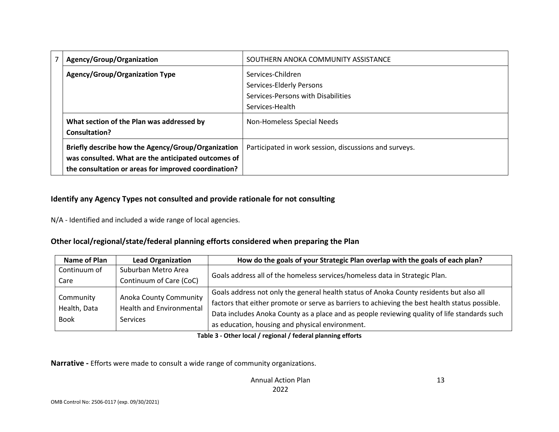| Agency/Group/Organization                                         | SOUTHERN ANOKA COMMUNITY ASSISTANCE                    |
|-------------------------------------------------------------------|--------------------------------------------------------|
| <b>Agency/Group/Organization Type</b>                             | Services-Children                                      |
|                                                                   | Services-Elderly Persons                               |
|                                                                   | Services-Persons with Disabilities                     |
|                                                                   | Services-Health                                        |
| What section of the Plan was addressed by<br><b>Consultation?</b> | Non-Homeless Special Needs                             |
|                                                                   |                                                        |
| Briefly describe how the Agency/Group/Organization                | Participated in work session, discussions and surveys. |
| was consulted. What are the anticipated outcomes of               |                                                        |
| the consultation or areas for improved coordination?              |                                                        |

### **Identify any Agency Types not consulted and provide rationale for not consulting**

N/A - Identified and included a wide range of local agencies.

#### **Other local/regional/state/federal planning efforts considered when preparing the Plan**

| Name of Plan | <b>Lead Organization</b>                                                            | How do the goals of your Strategic Plan overlap with the goals of each plan?                   |  |  |
|--------------|-------------------------------------------------------------------------------------|------------------------------------------------------------------------------------------------|--|--|
| Continuum of | Suburban Metro Area                                                                 |                                                                                                |  |  |
| Care         | Continuum of Care (CoC)                                                             | Goals address all of the homeless services/homeless data in Strategic Plan.                    |  |  |
| Community    |                                                                                     | Goals address not only the general health status of Anoka County residents but also all        |  |  |
| Health, Data | <b>Anoka County Community</b><br><b>Health and Environmental</b><br><b>Services</b> | factors that either promote or serve as barriers to achieving the best health status possible. |  |  |
| <b>Book</b>  |                                                                                     | Data includes Anoka County as a place and as people reviewing quality of life standards such   |  |  |
|              |                                                                                     | as education, housing and physical environment.                                                |  |  |

#### **Table 3 - Other local / regional / federal planning efforts**

**Narrative -** Efforts were made to consult a wide range of community organizations.

13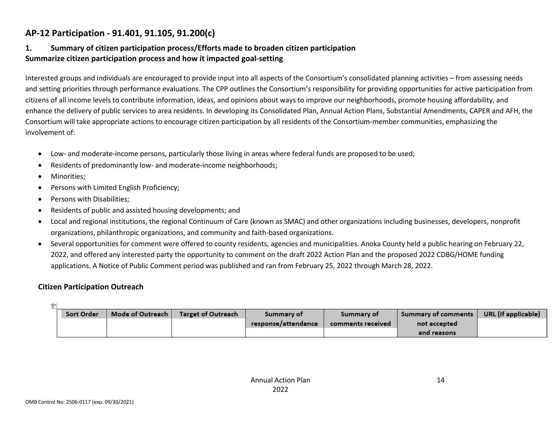## **AP-12 Participation - 91.401, 91.105, 91.200(c)**

### **1. Summary of citizen participation process/Efforts made to broaden citizen participation Summarize citizen participation process and how it impacted goal-setting**

Interested groups and individuals are encouraged to provide input into all aspects of the Consortium's consolidated planning activities – from assessing needs and setting priorities through performance evaluations. The CPP outlines the Consortium's responsibility for providing opportunities for active participation from citizens of all income levels to contribute information, ideas, and opinions about ways to improve our neighborhoods, promote housing affordability, and enhance the delivery of public services to area residents. In developing its Consolidated Plan, Annual Action Plans, Substantial Amendments, CAPER and AFH, the Consortium will take appropriate actions to encourage citizen participation by all residents of the Consortium-member communities, emphasizing the involvement of:

- Low- and moderate-income persons, particularly those living in areas where federal funds are proposed to be used;
- Residents of predominantly low- and moderate-income neighborhoods;
- Minorities;

a<br>La l

- Persons with Limited English Proficiency;
- Persons with Disabilities;
- Residents of public and assisted housing developments; and
- Local and regional institutions, the regional Continuum of Care (known as SMAC) and other organizations including businesses, developers, nonprofit organizations, philanthropic organizations, and community and faith-based organizations.
- Several opportunities for comment were offered to county residents, agencies and municipalities. Anoka County held a public hearing on February 22, 2022, and offered any interested party the opportunity to comment on the draft 2022 Action Plan and the proposed 2022 CDBG/HOME funding applications. A Notice of Public Comment period was published and ran from February 25, 2022 through March 28, 2022.

#### **Citizen Participation Outreach**

| Sort Order | Mode of Outreach | Target of Outreach | Summary of          | Summary of        | Summary of comments | URL (If applicable) |
|------------|------------------|--------------------|---------------------|-------------------|---------------------|---------------------|
|            |                  |                    | response/attendance | comments received | not accepted        |                     |
|            |                  |                    |                     |                   | and reasons         |                     |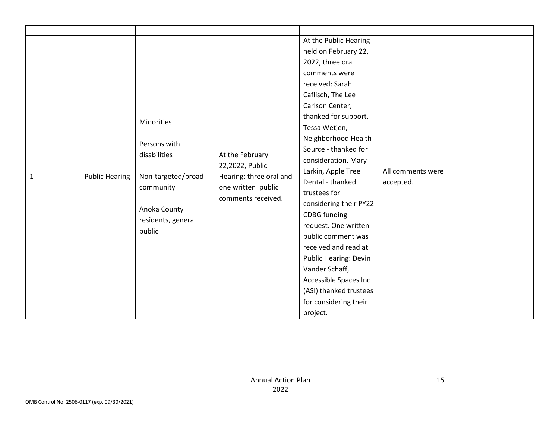|              |                       |                    |                         | At the Public Hearing        |                   |  |
|--------------|-----------------------|--------------------|-------------------------|------------------------------|-------------------|--|
|              |                       |                    |                         | held on February 22,         |                   |  |
|              |                       |                    |                         | 2022, three oral             |                   |  |
|              |                       |                    |                         | comments were                |                   |  |
|              |                       |                    |                         | received: Sarah              |                   |  |
|              |                       |                    |                         | Caflisch, The Lee            |                   |  |
|              |                       |                    |                         | Carlson Center,              |                   |  |
|              |                       |                    |                         | thanked for support.         |                   |  |
|              |                       | Minorities         |                         | Tessa Wetjen,                |                   |  |
|              |                       |                    |                         | Neighborhood Health          |                   |  |
|              |                       | Persons with       |                         | Source - thanked for         |                   |  |
|              |                       | disabilities       | At the February         | consideration. Mary          |                   |  |
|              |                       |                    | 22,2022, Public         | Larkin, Apple Tree           | All comments were |  |
| $\mathbf{1}$ | <b>Public Hearing</b> | Non-targeted/broad | Hearing: three oral and | Dental - thanked             | accepted.         |  |
|              |                       | community          | one written public      | trustees for                 |                   |  |
|              |                       |                    | comments received.      | considering their PY22       |                   |  |
|              |                       | Anoka County       |                         | <b>CDBG</b> funding          |                   |  |
|              |                       | residents, general |                         | request. One written         |                   |  |
|              |                       | public             |                         | public comment was           |                   |  |
|              |                       |                    |                         | received and read at         |                   |  |
|              |                       |                    |                         | <b>Public Hearing: Devin</b> |                   |  |
|              |                       |                    |                         | Vander Schaff,               |                   |  |
|              |                       |                    |                         | Accessible Spaces Inc        |                   |  |
|              |                       |                    |                         | (ASI) thanked trustees       |                   |  |
|              |                       |                    |                         | for considering their        |                   |  |
|              |                       |                    |                         | project.                     |                   |  |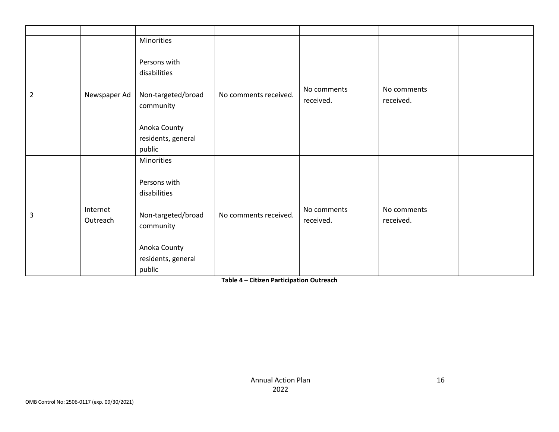| $\overline{2}$ | Newspaper Ad         | Minorities<br>Persons with<br>disabilities<br>Non-targeted/broad<br>community<br>Anoka County<br>residents, general<br>public | No comments received. | No comments<br>received. | No comments<br>received. |  |
|----------------|----------------------|-------------------------------------------------------------------------------------------------------------------------------|-----------------------|--------------------------|--------------------------|--|
| 3              | Internet<br>Outreach | Minorities<br>Persons with<br>disabilities<br>Non-targeted/broad<br>community<br>Anoka County<br>residents, general<br>public | No comments received. | No comments<br>received. | No comments<br>received. |  |

**Table 4 – Citizen Participation Outreach**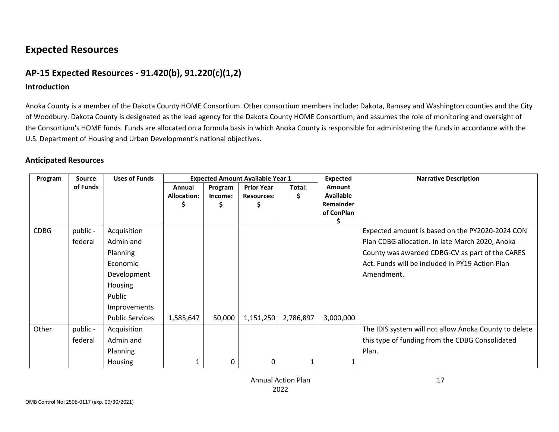# **Expected Resources**

## **AP-15 Expected Resources - 91.420(b), 91.220(c)(1,2)**

#### **Introduction**

Anoka County is a member of the Dakota County HOME Consortium. Other consortium members include: Dakota, Ramsey and Washington counties and the City of Woodbury. Dakota County is designated as the lead agency for the Dakota County HOME Consortium, and assumes the role of monitoring and oversight of the Consortium's HOME funds. Funds are allocated on a formula basis in which Anoka County is responsible for administering the funds in accordance with the U.S. Department of Housing and Urban Development's national objectives.

#### **Anticipated Resources**

| Program     | <b>Source</b> | <b>Uses of Funds</b>   |                    |         | <b>Expected Amount Available Year 1</b> |           | <b>Expected</b>  | <b>Narrative Description</b>                          |
|-------------|---------------|------------------------|--------------------|---------|-----------------------------------------|-----------|------------------|-------------------------------------------------------|
|             | of Funds      |                        | Annual             | Program | <b>Prior Year</b>                       | Total:    | <b>Amount</b>    |                                                       |
|             |               |                        | <b>Allocation:</b> | Income: | <b>Resources:</b>                       | \$        | <b>Available</b> |                                                       |
|             |               |                        |                    | 5       |                                         |           | Remainder        |                                                       |
|             |               |                        |                    |         |                                         |           | of ConPlan       |                                                       |
| <b>CDBG</b> | public -      | Acquisition            |                    |         |                                         |           |                  | Expected amount is based on the PY2020-2024 CON       |
|             | federal       | Admin and              |                    |         |                                         |           |                  | Plan CDBG allocation. In late March 2020, Anoka       |
|             |               | <b>Planning</b>        |                    |         |                                         |           |                  | County was awarded CDBG-CV as part of the CARES       |
|             |               | Economic               |                    |         |                                         |           |                  | Act. Funds will be included in PY19 Action Plan       |
|             |               | Development            |                    |         |                                         |           |                  | Amendment.                                            |
|             |               | Housing                |                    |         |                                         |           |                  |                                                       |
|             |               | Public                 |                    |         |                                         |           |                  |                                                       |
|             |               | Improvements           |                    |         |                                         |           |                  |                                                       |
|             |               | <b>Public Services</b> | 1,585,647          | 50,000  | 1,151,250                               | 2,786,897 | 3,000,000        |                                                       |
| Other       | public -      | Acquisition            |                    |         |                                         |           |                  | The IDIS system will not allow Anoka County to delete |
|             | federal       | Admin and              |                    |         |                                         |           |                  | this type of funding from the CDBG Consolidated       |
|             |               | <b>Planning</b>        |                    |         |                                         |           |                  | Plan.                                                 |
|             |               | <b>Housing</b>         |                    | 0       | 0                                       |           |                  |                                                       |

17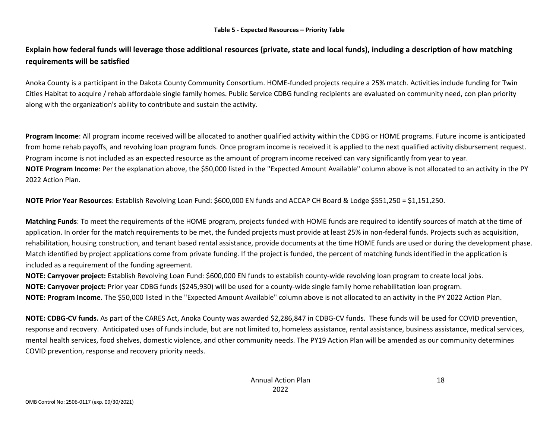### **Explain how federal funds will leverage those additional resources (private, state and local funds), including a description of how matching requirements will be satisfied**

Anoka County is a participant in the Dakota County Community Consortium. HOME-funded projects require a 25% match. Activities include funding for Twin Cities Habitat to acquire / rehab affordable single family homes. Public Service CDBG funding recipients are evaluated on community need, con plan priority along with the organization's ability to contribute and sustain the activity.

**Program Income**: All program income received will be allocated to another qualified activity within the CDBG or HOME programs. Future income is anticipated from home rehab payoffs, and revolving loan program funds. Once program income is received it is applied to the next qualified activity disbursement request. Program income is not included as an expected resource as the amount of program income received can vary significantly from year to year. **NOTE Program Income**: Per the explanation above, the \$50,000 listed in the "Expected Amount Available" column above is not allocated to an activity in the PY 2022 Action Plan.

**NOTE Prior Year Resources**: Establish Revolving Loan Fund: \$600,000 EN funds and ACCAP CH Board & Lodge \$551,250 = \$1,151,250.

**Matching Funds**: To meet the requirements of the HOME program, projects funded with HOME funds are required to identify sources of match at the time of application. In order for the match requirements to be met, the funded projects must provide at least 25% in non-federal funds. Projects such as acquisition, rehabilitation, housing construction, and tenant based rental assistance, provide documents at the time HOME funds are used or during the development phase. Match identified by project applications come from private funding. If the project is funded, the percent of matching funds identified in the application is included as a requirement of the funding agreement.

**NOTE: Carryover project:** Establish Revolving Loan Fund: \$600,000 EN funds to establish county-wide revolving loan program to create local jobs. **NOTE: Carryover project:** Prior year CDBG funds (\$245,930) will be used for a county-wide single family home rehabilitation loan program. **NOTE: Program Income.** The \$50,000 listed in the "Expected Amount Available" column above is not allocated to an activity in the PY 2022 Action Plan.

**NOTE: CDBG-CV funds.** As part of the CARES Act, Anoka County was awarded \$2,286,847 in CDBG-CV funds. These funds will be used for COVID prevention, response and recovery. Anticipated uses of funds include, but are not limited to, homeless assistance, rental assistance, business assistance, medical services, mental health services, food shelves, domestic violence, and other community needs. The PY19 Action Plan will be amended as our community determines COVID prevention, response and recovery priority needs.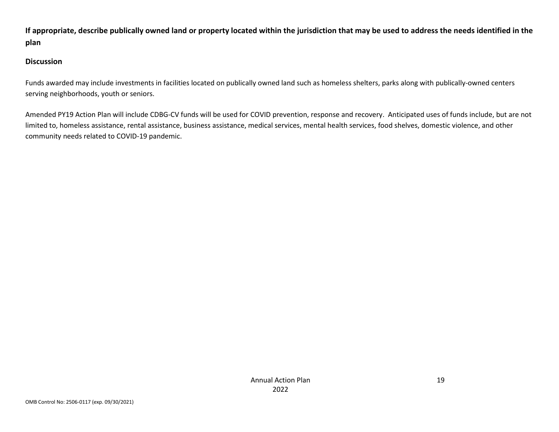**If appropriate, describe publically owned land or property located within the jurisdiction that may be used to address the needs identified in the plan**

#### **Discussion**

Funds awarded may include investments in facilities located on publically owned land such as homeless shelters, parks along with publically-owned centers serving neighborhoods, youth or seniors.

Amended PY19 Action Plan will include CDBG-CV funds will be used for COVID prevention, response and recovery. Anticipated uses of funds include, but are not limited to, homeless assistance, rental assistance, business assistance, medical services, mental health services, food shelves, domestic violence, and other community needs related to COVID-19 pandemic.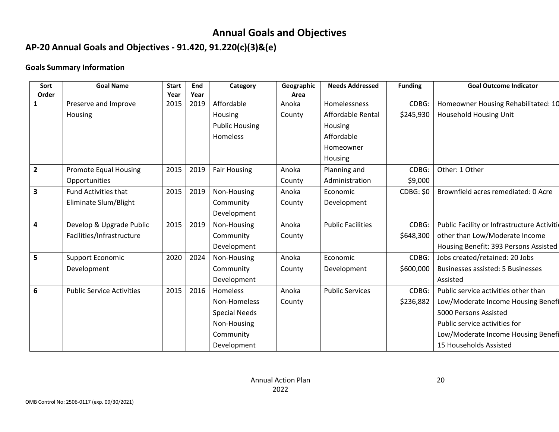# **Annual Goals and Objectives**

# **AP-20 Annual Goals and Objectives - 91.420, 91.220(c)(3)&(e)**

### **Goals Summary Information**

| Sort                    | <b>Goal Name</b>                 | <b>Start</b> | End  | Category              | Geographic | <b>Needs Addressed</b>   | <b>Funding</b>   | <b>Goal Outcome Indicator</b>               |
|-------------------------|----------------------------------|--------------|------|-----------------------|------------|--------------------------|------------------|---------------------------------------------|
| Order                   |                                  | Year         | Year |                       | Area       |                          |                  |                                             |
| $\mathbf{1}$            | Preserve and Improve             | 2015         | 2019 | Affordable            | Anoka      | Homelessness             | CDBG:            | Homeowner Housing Rehabilitated: 10         |
|                         | Housing                          |              |      | Housing               | County     | Affordable Rental        | \$245,930        | Household Housing Unit                      |
|                         |                                  |              |      | <b>Public Housing</b> |            | Housing                  |                  |                                             |
|                         |                                  |              |      | Homeless              |            | Affordable               |                  |                                             |
|                         |                                  |              |      |                       |            | Homeowner                |                  |                                             |
|                         |                                  |              |      |                       |            | Housing                  |                  |                                             |
| $\overline{2}$          | Promote Equal Housing            | 2015         | 2019 | <b>Fair Housing</b>   | Anoka      | Planning and             | CDBG:            | Other: 1 Other                              |
|                         | Opportunities                    |              |      |                       | County     | Administration           | \$9,000          |                                             |
| $\overline{\mathbf{3}}$ | <b>Fund Activities that</b>      | 2015         | 2019 | Non-Housing           | Anoka      | Economic                 | <b>CDBG: \$0</b> | Brownfield acres remediated: 0 Acre         |
|                         | Eliminate Slum/Blight            |              |      | Community             | County     | Development              |                  |                                             |
|                         |                                  |              |      | Development           |            |                          |                  |                                             |
| 4                       | Develop & Upgrade Public         | 2015         | 2019 | Non-Housing           | Anoka      | <b>Public Facilities</b> | CDBG:            | Public Facility or Infrastructure Activitie |
|                         | Facilities/Infrastructure        |              |      | Community             | County     |                          | \$648,300        | other than Low/Moderate Income              |
|                         |                                  |              |      | Development           |            |                          |                  | Housing Benefit: 393 Persons Assisted       |
| 5                       | Support Economic                 | 2020         | 2024 | Non-Housing           | Anoka      | Economic                 | CDBG:            | Jobs created/retained: 20 Jobs              |
|                         | Development                      |              |      | Community             | County     | Development              | \$600,000        | Businesses assisted: 5 Businesses           |
|                         |                                  |              |      | Development           |            |                          |                  | Assisted                                    |
| 6                       | <b>Public Service Activities</b> | 2015         | 2016 | Homeless              | Anoka      | <b>Public Services</b>   | CDBG:            | Public service activities other than        |
|                         |                                  |              |      | Non-Homeless          | County     |                          | \$236,882        | Low/Moderate Income Housing Benefi          |
|                         |                                  |              |      | <b>Special Needs</b>  |            |                          |                  | 5000 Persons Assisted                       |
|                         |                                  |              |      | Non-Housing           |            |                          |                  | Public service activities for               |
|                         |                                  |              |      | Community             |            |                          |                  | Low/Moderate Income Housing Benefi          |
|                         |                                  |              |      | Development           |            |                          |                  | 15 Households Assisted                      |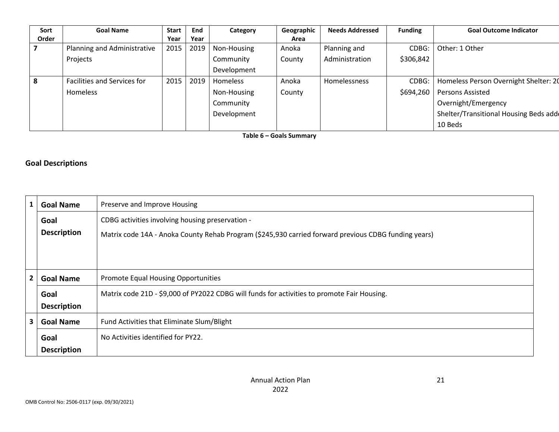| Sort  | <b>Goal Name</b>            | <b>Start</b> | End  | Category        | Geographic | <b>Needs Addressed</b> | <b>Funding</b> | <b>Goal Outcome Indicator</b>         |
|-------|-----------------------------|--------------|------|-----------------|------------|------------------------|----------------|---------------------------------------|
| Order |                             | Year         | Year |                 | Area       |                        |                |                                       |
|       | Planning and Administrative | 2015         | 2019 | Non-Housing     | Anoka      | Planning and           | CDBG:          | Other: 1 Other                        |
|       | Projects                    |              |      | Community       | County     | Administration         | \$306,842      |                                       |
|       |                             |              |      | Development     |            |                        |                |                                       |
| 8     | Facilities and Services for | 2015         | 2019 | <b>Homeless</b> | Anoka      | Homelessness           | CDBG:          | Homeless Person Overnight Shelter: 20 |
|       | Homeless                    |              |      | Non-Housing     | County     |                        | \$694,260      | Persons Assisted                      |
|       |                             |              |      | Community       |            |                        |                | Overnight/Emergency                   |
|       |                             |              |      | Development     |            |                        |                | Shelter/Transitional Housing Beds add |
|       |                             |              |      |                 |            |                        |                | 10 Beds                               |

**Table 6 – Goals Summary**

#### **Goal Descriptions**

| 1                       | <b>Goal Name</b>   | Preserve and Improve Housing                                                                         |
|-------------------------|--------------------|------------------------------------------------------------------------------------------------------|
|                         | Goal               | CDBG activities involving housing preservation -                                                     |
|                         | <b>Description</b> | Matrix code 14A - Anoka County Rehab Program (\$245,930 carried forward previous CDBG funding years) |
|                         |                    |                                                                                                      |
|                         |                    |                                                                                                      |
| $\overline{\mathbf{2}}$ | <b>Goal Name</b>   | <b>Promote Equal Housing Opportunities</b>                                                           |
|                         | Goal               | Matrix code 21D - \$9,000 of PY2022 CDBG will funds for activities to promote Fair Housing.          |
|                         | <b>Description</b> |                                                                                                      |
| 3                       | <b>Goal Name</b>   | Fund Activities that Eliminate Slum/Blight                                                           |
|                         | Goal               | No Activities identified for PY22.                                                                   |
|                         | <b>Description</b> |                                                                                                      |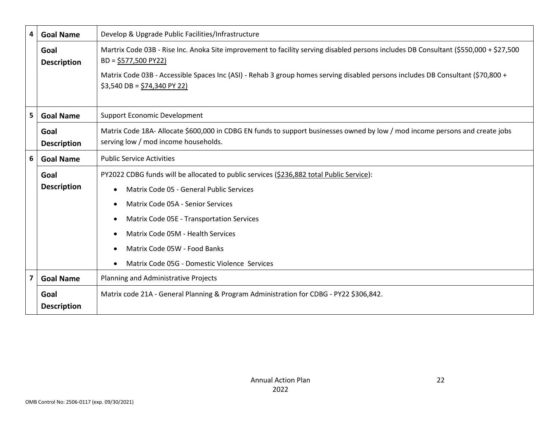| 4                       | <b>Goal Name</b>           | Develop & Upgrade Public Facilities/Infrastructure                                                                                                                     |
|-------------------------|----------------------------|------------------------------------------------------------------------------------------------------------------------------------------------------------------------|
|                         | Goal<br><b>Description</b> | Martrix Code 03B - Rise Inc. Anoka Site improvement to facility serving disabled persons includes DB Consultant (\$550,000 + \$27,500<br>$BD = \frac{5577}{500}$ PY22) |
|                         |                            | Matrix Code 03B - Accessible Spaces Inc (ASI) - Rehab 3 group homes serving disabled persons includes DB Consultant (\$70,800 +<br>$$3,540$ DB = $$74,340$ PY 22)      |
| 5                       | <b>Goal Name</b>           | <b>Support Economic Development</b>                                                                                                                                    |
|                         | Goal<br><b>Description</b> | Matrix Code 18A- Allocate \$600,000 in CDBG EN funds to support businesses owned by low / mod income persons and create jobs<br>serving low / mod income households.   |
| 6                       | <b>Goal Name</b>           | <b>Public Service Activities</b>                                                                                                                                       |
|                         | Goal                       | PY2022 CDBG funds will be allocated to public services (\$236,882 total Public Service):                                                                               |
|                         | <b>Description</b>         | Matrix Code 05 - General Public Services                                                                                                                               |
|                         |                            | Matrix Code 05A - Senior Services<br>$\bullet$                                                                                                                         |
|                         |                            | Matrix Code 05E - Transportation Services                                                                                                                              |
|                         |                            | Matrix Code 05M - Health Services                                                                                                                                      |
|                         |                            | Matrix Code 05W - Food Banks<br>$\bullet$                                                                                                                              |
|                         |                            | Matrix Code 05G - Domestic Violence Services                                                                                                                           |
| $\overline{\mathbf{z}}$ | <b>Goal Name</b>           | Planning and Administrative Projects                                                                                                                                   |
|                         | Goal<br><b>Description</b> | Matrix code 21A - General Planning & Program Administration for CDBG - PY22 \$306,842.                                                                                 |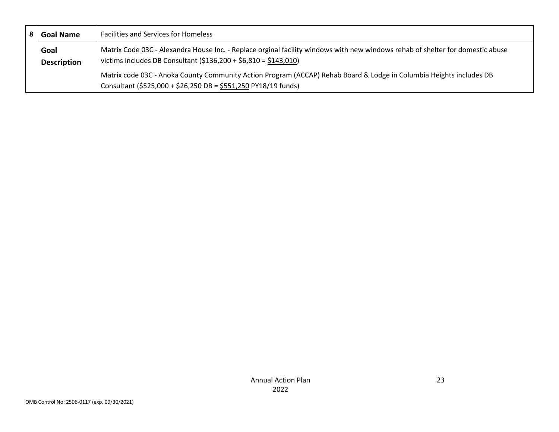| <b>Goal Name</b>   | <b>Facilities and Services for Homeless</b>                                                                                    |
|--------------------|--------------------------------------------------------------------------------------------------------------------------------|
| Goal               | Matrix Code 03C - Alexandra House Inc. - Replace orginal facility windows with new windows rehab of shelter for domestic abuse |
| <b>Description</b> | victims includes DB Consultant $($136,200 + $6,810 = $143,010)$                                                                |
|                    | Matrix code 03C - Anoka County Community Action Program (ACCAP) Rehab Board & Lodge in Columbia Heights includes DB            |
|                    | Consultant (\$525,000 + \$26,250 DB = \$551,250 PY18/19 funds)                                                                 |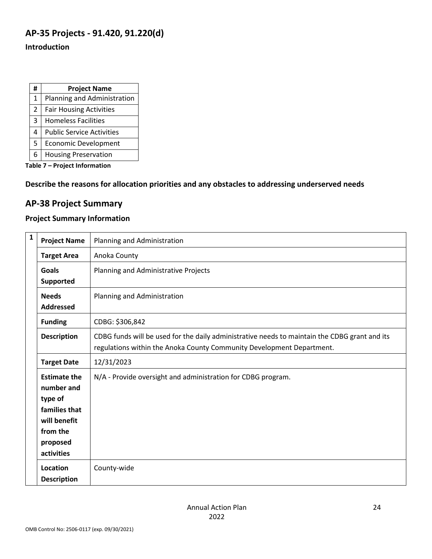## **AP-35 Projects - 91.420, 91.220(d)**

#### **Introduction**

| #             | <b>Project Name</b>              |
|---------------|----------------------------------|
| $\mathbf{1}$  | Planning and Administration      |
| $\mathcal{P}$ | <b>Fair Housing Activities</b>   |
| 3             | <b>Homeless Facilities</b>       |
| 4             | <b>Public Service Activities</b> |
| 5             | <b>Economic Development</b>      |
| 6             | <b>Housing Preservation</b>      |

**Table 7 – Project Information**

**Describe the reasons for allocation priorities and any obstacles to addressing underserved needs**

### **AP-38 Project Summary**

### **Project Summary Information**

| $\mathbf{1}$ | <b>Project Name</b>                                                                                                        | Planning and Administration                                                                                                                                            |
|--------------|----------------------------------------------------------------------------------------------------------------------------|------------------------------------------------------------------------------------------------------------------------------------------------------------------------|
|              | <b>Target Area</b>                                                                                                         | Anoka County                                                                                                                                                           |
|              | <b>Goals</b>                                                                                                               | Planning and Administrative Projects                                                                                                                                   |
|              | Supported                                                                                                                  |                                                                                                                                                                        |
|              | <b>Needs</b>                                                                                                               | Planning and Administration                                                                                                                                            |
|              | <b>Addressed</b>                                                                                                           |                                                                                                                                                                        |
|              | <b>Funding</b>                                                                                                             | CDBG: \$306,842                                                                                                                                                        |
|              | <b>Description</b>                                                                                                         | CDBG funds will be used for the daily administrative needs to maintain the CDBG grant and its<br>regulations within the Anoka County Community Development Department. |
|              | <b>Target Date</b>                                                                                                         | 12/31/2023                                                                                                                                                             |
|              | <b>Estimate the</b><br>number and<br>type of<br>families that<br>will benefit<br>from the<br>proposed<br><b>activities</b> | N/A - Provide oversight and administration for CDBG program.                                                                                                           |
|              | Location<br><b>Description</b>                                                                                             | County-wide                                                                                                                                                            |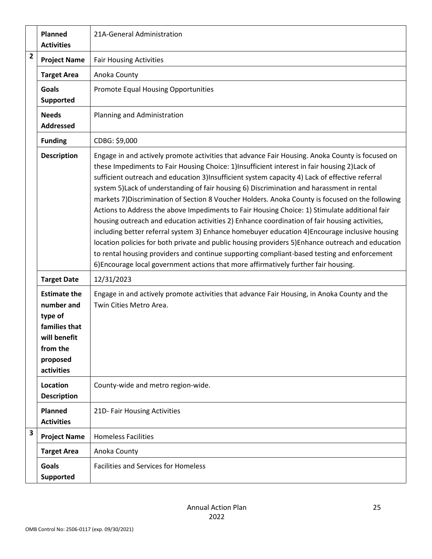|                | Planned<br><b>Activities</b>                                                                                        | 21A-General Administration                                                                                                                                                                                                                                                                                                                                                                                                                                                                                                                                                                                                                                                                                                                                                                                                                                                                                                                                                                                                                                                                        |
|----------------|---------------------------------------------------------------------------------------------------------------------|---------------------------------------------------------------------------------------------------------------------------------------------------------------------------------------------------------------------------------------------------------------------------------------------------------------------------------------------------------------------------------------------------------------------------------------------------------------------------------------------------------------------------------------------------------------------------------------------------------------------------------------------------------------------------------------------------------------------------------------------------------------------------------------------------------------------------------------------------------------------------------------------------------------------------------------------------------------------------------------------------------------------------------------------------------------------------------------------------|
| $\overline{2}$ | <b>Project Name</b>                                                                                                 | <b>Fair Housing Activities</b>                                                                                                                                                                                                                                                                                                                                                                                                                                                                                                                                                                                                                                                                                                                                                                                                                                                                                                                                                                                                                                                                    |
|                | <b>Target Area</b>                                                                                                  | Anoka County                                                                                                                                                                                                                                                                                                                                                                                                                                                                                                                                                                                                                                                                                                                                                                                                                                                                                                                                                                                                                                                                                      |
|                | <b>Goals</b><br>Supported                                                                                           | <b>Promote Equal Housing Opportunities</b>                                                                                                                                                                                                                                                                                                                                                                                                                                                                                                                                                                                                                                                                                                                                                                                                                                                                                                                                                                                                                                                        |
|                | <b>Needs</b><br><b>Addressed</b>                                                                                    | Planning and Administration                                                                                                                                                                                                                                                                                                                                                                                                                                                                                                                                                                                                                                                                                                                                                                                                                                                                                                                                                                                                                                                                       |
|                | <b>Funding</b>                                                                                                      | CDBG: \$9,000                                                                                                                                                                                                                                                                                                                                                                                                                                                                                                                                                                                                                                                                                                                                                                                                                                                                                                                                                                                                                                                                                     |
|                | <b>Description</b>                                                                                                  | Engage in and actively promote activities that advance Fair Housing. Anoka County is focused on<br>these Impediments to Fair Housing Choice: 1)Insufficient interest in fair housing 2)Lack of<br>sufficient outreach and education 3)Insufficient system capacity 4) Lack of effective referral<br>system 5) Lack of understanding of fair housing 6) Discrimination and harassment in rental<br>markets 7) Discrimination of Section 8 Voucher Holders. Anoka County is focused on the following<br>Actions to Address the above Impediments to Fair Housing Choice: 1) Stimulate additional fair<br>housing outreach and education activities 2) Enhance coordination of fair housing activities,<br>including better referral system 3) Enhance homebuyer education 4) Encourage inclusive housing<br>location policies for both private and public housing providers 5) Enhance outreach and education<br>to rental housing providers and continue supporting compliant-based testing and enforcement<br>6) Encourage local government actions that more affirmatively further fair housing. |
|                | <b>Target Date</b>                                                                                                  | 12/31/2023                                                                                                                                                                                                                                                                                                                                                                                                                                                                                                                                                                                                                                                                                                                                                                                                                                                                                                                                                                                                                                                                                        |
|                | <b>Estimate the</b><br>number and<br>type of<br>families that<br>will benefit<br>from the<br>proposed<br>activities | Engage in and actively promote activities that advance Fair Housing, in Anoka County and the<br>Twin Cities Metro Area.                                                                                                                                                                                                                                                                                                                                                                                                                                                                                                                                                                                                                                                                                                                                                                                                                                                                                                                                                                           |
|                | Location<br><b>Description</b>                                                                                      | County-wide and metro region-wide.                                                                                                                                                                                                                                                                                                                                                                                                                                                                                                                                                                                                                                                                                                                                                                                                                                                                                                                                                                                                                                                                |
|                | Planned<br><b>Activities</b>                                                                                        | 21D- Fair Housing Activities                                                                                                                                                                                                                                                                                                                                                                                                                                                                                                                                                                                                                                                                                                                                                                                                                                                                                                                                                                                                                                                                      |
| 3              | <b>Project Name</b>                                                                                                 | <b>Homeless Facilities</b>                                                                                                                                                                                                                                                                                                                                                                                                                                                                                                                                                                                                                                                                                                                                                                                                                                                                                                                                                                                                                                                                        |
|                | <b>Target Area</b>                                                                                                  | Anoka County                                                                                                                                                                                                                                                                                                                                                                                                                                                                                                                                                                                                                                                                                                                                                                                                                                                                                                                                                                                                                                                                                      |
|                | <b>Goals</b><br>Supported                                                                                           | <b>Facilities and Services for Homeless</b>                                                                                                                                                                                                                                                                                                                                                                                                                                                                                                                                                                                                                                                                                                                                                                                                                                                                                                                                                                                                                                                       |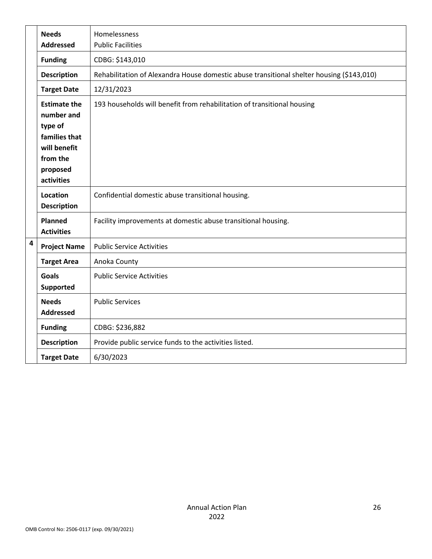|                         | <b>Needs</b>                                                                                                        | Homelessness                                                                              |
|-------------------------|---------------------------------------------------------------------------------------------------------------------|-------------------------------------------------------------------------------------------|
|                         | <b>Addressed</b>                                                                                                    | <b>Public Facilities</b>                                                                  |
|                         | <b>Funding</b>                                                                                                      | CDBG: \$143,010                                                                           |
|                         | <b>Description</b>                                                                                                  | Rehabilitation of Alexandra House domestic abuse transitional shelter housing (\$143,010) |
|                         | <b>Target Date</b>                                                                                                  | 12/31/2023                                                                                |
|                         | <b>Estimate the</b><br>number and<br>type of<br>families that<br>will benefit<br>from the<br>proposed<br>activities | 193 households will benefit from rehabilitation of transitional housing                   |
|                         | Location<br><b>Description</b>                                                                                      | Confidential domestic abuse transitional housing.                                         |
|                         | <b>Planned</b><br><b>Activities</b>                                                                                 | Facility improvements at domestic abuse transitional housing.                             |
| $\overline{\mathbf{4}}$ | <b>Project Name</b>                                                                                                 | <b>Public Service Activities</b>                                                          |
|                         | <b>Target Area</b>                                                                                                  | Anoka County                                                                              |
|                         | <b>Goals</b><br>Supported                                                                                           | <b>Public Service Activities</b>                                                          |
|                         | <b>Needs</b><br><b>Addressed</b>                                                                                    | <b>Public Services</b>                                                                    |
|                         | <b>Funding</b>                                                                                                      | CDBG: \$236,882                                                                           |
|                         | <b>Description</b>                                                                                                  | Provide public service funds to the activities listed.                                    |
|                         | <b>Target Date</b>                                                                                                  | 6/30/2023                                                                                 |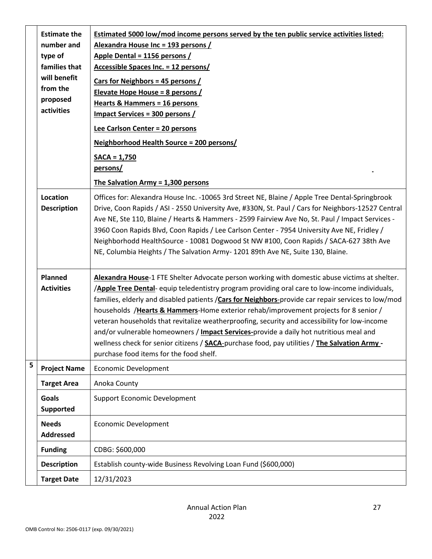|   | <b>Estimate the</b><br>number and<br>type of<br>families that<br>will benefit<br>from the<br>proposed<br>activities | <b>Estimated 5000 low/mod income persons served by the ten public service activities listed:</b><br>Alexandra House Inc = 193 persons /<br>Apple Dental = 1156 persons /<br>Accessible Spaces Inc. = 12 persons/<br><b>Cars for Neighbors = 45 persons /</b><br>Elevate Hope House = 8 persons /<br><b>Hearts &amp; Hammers = 16 persons</b><br><b>Impact Services = 300 persons /</b><br>Lee Carlson Center = 20 persons<br>Neighborhood Health Source = 200 persons/<br>$SACA = 1,750$<br>persons/<br>The Salvation Army = 1,300 persons                                                                                                                                                                                            |
|---|---------------------------------------------------------------------------------------------------------------------|---------------------------------------------------------------------------------------------------------------------------------------------------------------------------------------------------------------------------------------------------------------------------------------------------------------------------------------------------------------------------------------------------------------------------------------------------------------------------------------------------------------------------------------------------------------------------------------------------------------------------------------------------------------------------------------------------------------------------------------|
|   | Location<br><b>Description</b>                                                                                      | Offices for: Alexandra House Inc. -10065 3rd Street NE, Blaine / Apple Tree Dental-Springbrook<br>Drive, Coon Rapids / ASI - 2550 University Ave, #330N, St. Paul / Cars for Neighbors-12527 Central<br>Ave NE, Ste 110, Blaine / Hearts & Hammers - 2599 Fairview Ave No, St. Paul / Impact Services -<br>3960 Coon Rapids Blvd, Coon Rapids / Lee Carlson Center - 7954 University Ave NE, Fridley /<br>Neighborhodd HealthSource - 10081 Dogwood St NW #100, Coon Rapids / SACA-627 38th Ave<br>NE, Columbia Heights / The Salvation Army- 1201 89th Ave NE, Suite 130, Blaine.                                                                                                                                                    |
|   | Planned<br><b>Activities</b>                                                                                        | Alexandra House-1 FTE Shelter Advocate person working with domestic abuse victims at shelter.<br>/Apple Tree Dental- equip teledentistry program providing oral care to low-income individuals,<br>families, elderly and disabled patients / Cars for Neighbors-provide car repair services to low/mod<br>households /Hearts & Hammers-Home exterior rehab/improvement projects for 8 senior /<br>veteran households that revitalize weatherproofing, security and accessibility for low-income<br>and/or vulnerable homeowners / Impact Services-provide a daily hot nutritious meal and<br>wellness check for senior citizens / SACA-purchase food, pay utilities / The Salvation Army -<br>purchase food items for the food shelf. |
| 5 | <b>Project Name</b>                                                                                                 | <b>Economic Development</b>                                                                                                                                                                                                                                                                                                                                                                                                                                                                                                                                                                                                                                                                                                           |
|   | <b>Target Area</b>                                                                                                  | Anoka County                                                                                                                                                                                                                                                                                                                                                                                                                                                                                                                                                                                                                                                                                                                          |
|   | <b>Goals</b><br><b>Supported</b>                                                                                    | <b>Support Economic Development</b>                                                                                                                                                                                                                                                                                                                                                                                                                                                                                                                                                                                                                                                                                                   |
|   | <b>Needs</b><br><b>Addressed</b>                                                                                    | <b>Economic Development</b>                                                                                                                                                                                                                                                                                                                                                                                                                                                                                                                                                                                                                                                                                                           |
|   | <b>Funding</b>                                                                                                      | CDBG: \$600,000                                                                                                                                                                                                                                                                                                                                                                                                                                                                                                                                                                                                                                                                                                                       |
|   | <b>Description</b>                                                                                                  | Establish county-wide Business Revolving Loan Fund (\$600,000)                                                                                                                                                                                                                                                                                                                                                                                                                                                                                                                                                                                                                                                                        |
|   | <b>Target Date</b>                                                                                                  | 12/31/2023                                                                                                                                                                                                                                                                                                                                                                                                                                                                                                                                                                                                                                                                                                                            |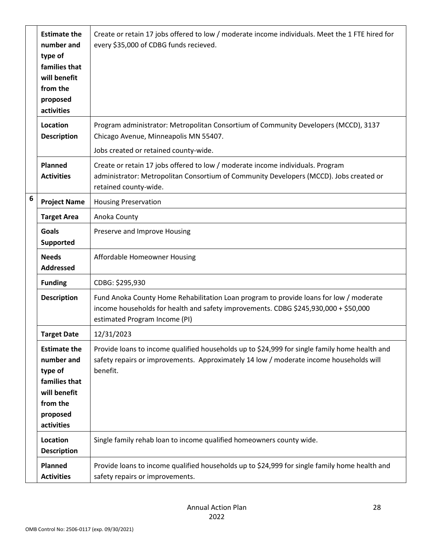|                 | <b>Estimate the</b><br>number and<br>type of<br>families that<br>will benefit<br>from the<br>proposed<br>activities | Create or retain 17 jobs offered to low / moderate income individuals. Meet the 1 FTE hired for<br>every \$35,000 of CDBG funds recieved.                                                                      |
|-----------------|---------------------------------------------------------------------------------------------------------------------|----------------------------------------------------------------------------------------------------------------------------------------------------------------------------------------------------------------|
|                 | Location<br><b>Description</b>                                                                                      | Program administrator: Metropolitan Consortium of Community Developers (MCCD), 3137<br>Chicago Avenue, Minneapolis MN 55407.<br>Jobs created or retained county-wide.                                          |
|                 |                                                                                                                     |                                                                                                                                                                                                                |
|                 | <b>Planned</b><br><b>Activities</b>                                                                                 | Create or retain 17 jobs offered to low / moderate income individuals. Program<br>administrator: Metropolitan Consortium of Community Developers (MCCD). Jobs created or<br>retained county-wide.              |
| $6\phantom{1}6$ | <b>Project Name</b>                                                                                                 | <b>Housing Preservation</b>                                                                                                                                                                                    |
|                 | <b>Target Area</b>                                                                                                  | Anoka County                                                                                                                                                                                                   |
|                 | <b>Goals</b><br><b>Supported</b>                                                                                    | Preserve and Improve Housing                                                                                                                                                                                   |
|                 | <b>Needs</b><br><b>Addressed</b>                                                                                    | Affordable Homeowner Housing                                                                                                                                                                                   |
|                 | <b>Funding</b>                                                                                                      | CDBG: \$295,930                                                                                                                                                                                                |
|                 | <b>Description</b>                                                                                                  | Fund Anoka County Home Rehabilitation Loan program to provide loans for low / moderate<br>income households for health and safety improvements. CDBG \$245,930,000 + \$50,000<br>estimated Program Income (PI) |
|                 | <b>Target Date</b>                                                                                                  | 12/31/2023                                                                                                                                                                                                     |
|                 | <b>Estimate the</b><br>number and<br>type of<br>families that<br>will benefit<br>from the<br>proposed<br>activities | Provide loans to income qualified households up to \$24,999 for single family home health and<br>safety repairs or improvements. Approximately 14 low / moderate income households will<br>benefit.            |
|                 | Location<br><b>Description</b>                                                                                      | Single family rehab loan to income qualified homeowners county wide.                                                                                                                                           |
|                 | Planned<br><b>Activities</b>                                                                                        | Provide loans to income qualified households up to \$24,999 for single family home health and<br>safety repairs or improvements.                                                                               |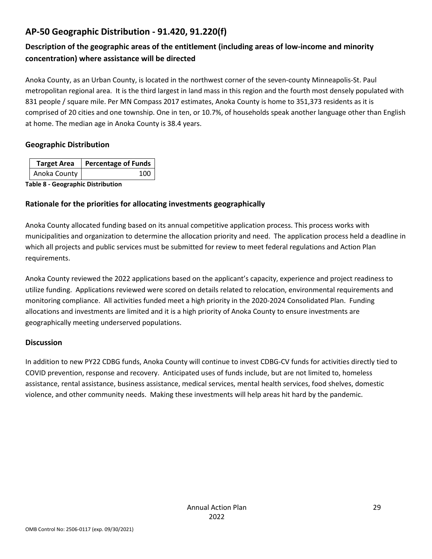## **AP-50 Geographic Distribution - 91.420, 91.220(f)**

## **Description of the geographic areas of the entitlement (including areas of low-income and minority concentration) where assistance will be directed**

Anoka County, as an Urban County, is located in the northwest corner of the seven-county Minneapolis-St. Paul metropolitan regional area. It is the third largest in land mass in this region and the fourth most densely populated with 831 people / square mile. Per MN Compass 2017 estimates, Anoka County is home to 351,373 residents as it is comprised of 20 cities and one township. One in ten, or 10.7%, of households speak another language other than English at home. The median age in Anoka County is 38.4 years.

#### **Geographic Distribution**

| <b>Target Area</b> | <b>Percentage of Funds</b>              |
|--------------------|-----------------------------------------|
| Anoka County       | 100                                     |
| - - - - 0          | And a comparable to Atlantic continuous |

**Table 8 - Geographic Distribution** 

#### **Rationale for the priorities for allocating investments geographically**

Anoka County allocated funding based on its annual competitive application process. This process works with municipalities and organization to determine the allocation priority and need. The application process held a deadline in which all projects and public services must be submitted for review to meet federal regulations and Action Plan requirements.

Anoka County reviewed the 2022 applications based on the applicant's capacity, experience and project readiness to utilize funding. Applications reviewed were scored on details related to relocation, environmental requirements and monitoring compliance. All activities funded meet a high priority in the 2020-2024 Consolidated Plan. Funding allocations and investments are limited and it is a high priority of Anoka County to ensure investments are geographically meeting underserved populations.

#### **Discussion**

In addition to new PY22 CDBG funds, Anoka County will continue to invest CDBG-CV funds for activities directly tied to COVID prevention, response and recovery. Anticipated uses of funds include, but are not limited to, homeless assistance, rental assistance, business assistance, medical services, mental health services, food shelves, domestic violence, and other community needs. Making these investments will help areas hit hard by the pandemic.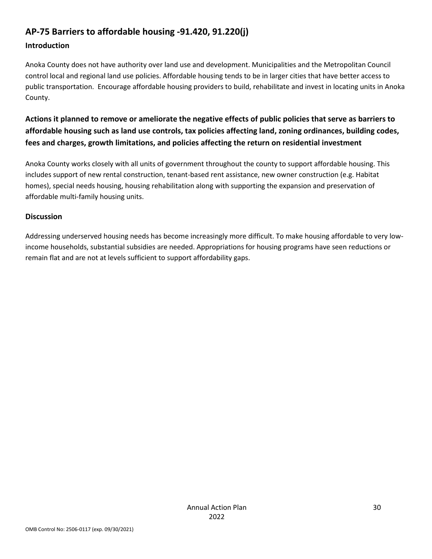## **AP-75 Barriers to affordable housing -91.420, 91.220(j)**

#### **Introduction**

Anoka County does not have authority over land use and development. Municipalities and the Metropolitan Council control local and regional land use policies. Affordable housing tends to be in larger cities that have better access to public transportation. Encourage affordable housing providers to build, rehabilitate and invest in locating units in Anoka County.

**Actions it planned to remove or ameliorate the negative effects of public policies that serve as barriers to affordable housing such as land use controls, tax policies affecting land, zoning ordinances, building codes, fees and charges, growth limitations, and policies affecting the return on residential investment**

Anoka County works closely with all units of government throughout the county to support affordable housing. This includes support of new rental construction, tenant-based rent assistance, new owner construction (e.g. Habitat homes), special needs housing, housing rehabilitation along with supporting the expansion and preservation of affordable multi-family housing units.

#### **Discussion**

Addressing underserved housing needs has become increasingly more difficult. To make housing affordable to very lowincome households, substantial subsidies are needed. Appropriations for housing programs have seen reductions or remain flat and are not at levels sufficient to support affordability gaps.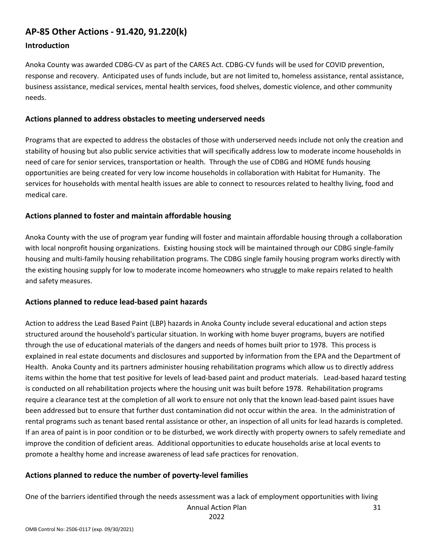## **AP-85 Other Actions - 91.420, 91.220(k)**

#### **Introduction**

Anoka County was awarded CDBG-CV as part of the CARES Act. CDBG-CV funds will be used for COVID prevention, response and recovery. Anticipated uses of funds include, but are not limited to, homeless assistance, rental assistance, business assistance, medical services, mental health services, food shelves, domestic violence, and other community needs.

#### **Actions planned to address obstacles to meeting underserved needs**

Programs that are expected to address the obstacles of those with underserved needs include not only the creation and stability of housing but also public service activities that will specifically address low to moderate income households in need of care for senior services, transportation or health. Through the use of CDBG and HOME funds housing opportunities are being created for very low income households in collaboration with Habitat for Humanity. The services for households with mental health issues are able to connect to resources related to healthy living, food and medical care.

#### **Actions planned to foster and maintain affordable housing**

Anoka County with the use of program year funding will foster and maintain affordable housing through a collaboration with local nonprofit housing organizations. Existing housing stock will be maintained through our CDBG single-family housing and multi-family housing rehabilitation programs. The CDBG single family housing program works directly with the existing housing supply for low to moderate income homeowners who struggle to make repairs related to health and safety measures.

#### **Actions planned to reduce lead-based paint hazards**

Action to address the Lead Based Paint (LBP) hazards in Anoka County include several educational and action steps structured around the household's particular situation. In working with home buyer programs, buyers are notified through the use of educational materials of the dangers and needs of homes built prior to 1978. This process is explained in real estate documents and disclosures and supported by information from the EPA and the Department of Health. Anoka County and its partners administer housing rehabilitation programs which allow us to directly address items within the home that test positive for levels of lead-based paint and product materials. Lead-based hazard testing is conducted on all rehabilitation projects where the housing unit was built before 1978. Rehabilitation programs require a clearance test at the completion of all work to ensure not only that the known lead-based paint issues have been addressed but to ensure that further dust contamination did not occur within the area. In the administration of rental programs such as tenant based rental assistance or other, an inspection of all units for lead hazards is completed. If an area of paint is in poor condition or to be disturbed, we work directly with property owners to safely remediate and improve the condition of deficient areas. Additional opportunities to educate households arise at local events to promote a healthy home and increase awareness of lead safe practices for renovation.

#### **Actions planned to reduce the number of poverty-level families**

One of the barriers identified through the needs assessment was a lack of employment opportunities with living

Annual Action Plan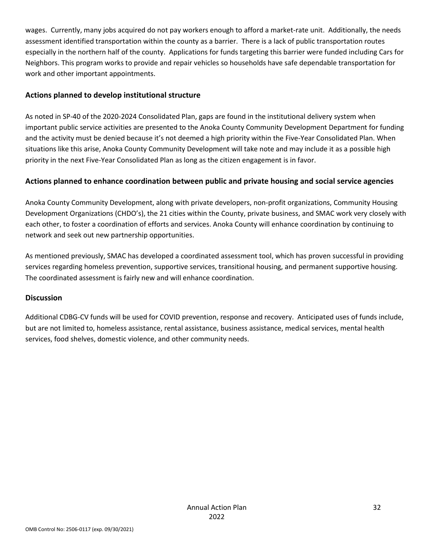wages. Currently, many jobs acquired do not pay workers enough to afford a market-rate unit. Additionally, the needs assessment identified transportation within the county as a barrier. There is a lack of public transportation routes especially in the northern half of the county. Applications for funds targeting this barrier were funded including Cars for Neighbors. This program works to provide and repair vehicles so households have safe dependable transportation for work and other important appointments.

#### **Actions planned to develop institutional structure**

As noted in SP-40 of the 2020-2024 Consolidated Plan, gaps are found in the institutional delivery system when important public service activities are presented to the Anoka County Community Development Department for funding and the activity must be denied because it's not deemed a high priority within the Five-Year Consolidated Plan. When situations like this arise, Anoka County Community Development will take note and may include it as a possible high priority in the next Five-Year Consolidated Plan as long as the citizen engagement is in favor.

#### **Actions planned to enhance coordination between public and private housing and social service agencies**

Anoka County Community Development, along with private developers, non-profit organizations, Community Housing Development Organizations (CHDO's), the 21 cities within the County, private business, and SMAC work very closely with each other, to foster a coordination of efforts and services. Anoka County will enhance coordination by continuing to network and seek out new partnership opportunities.

As mentioned previously, SMAC has developed a coordinated assessment tool, which has proven successful in providing services regarding homeless prevention, supportive services, transitional housing, and permanent supportive housing. The coordinated assessment is fairly new and will enhance coordination.

#### **Discussion**

Additional CDBG-CV funds will be used for COVID prevention, response and recovery. Anticipated uses of funds include, but are not limited to, homeless assistance, rental assistance, business assistance, medical services, mental health services, food shelves, domestic violence, and other community needs.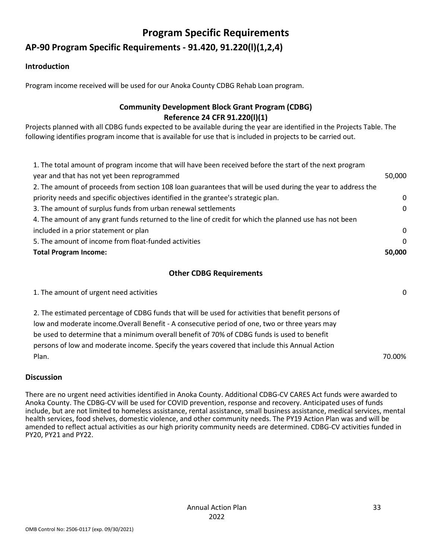# **Program Specific Requirements**

## **AP-90 Program Specific Requirements - 91.420, 91.220(l)(1,2,4)**

#### **Introduction**

Program income received will be used for our Anoka County CDBG Rehab Loan program.

### **Community Development Block Grant Program (CDBG) Reference 24 CFR 91.220(l)(1)**

Projects planned with all CDBG funds expected to be available during the year are identified in the Projects Table. The following identifies program income that is available for use that is included in projects to be carried out.

| 1. The total amount of program income that will have been received before the start of the next program     |          |
|-------------------------------------------------------------------------------------------------------------|----------|
| year and that has not yet been reprogrammed                                                                 | 50,000   |
| 2. The amount of proceeds from section 108 loan guarantees that will be used during the year to address the |          |
| priority needs and specific objectives identified in the grantee's strategic plan.                          | $\Omega$ |
| 3. The amount of surplus funds from urban renewal settlements                                               | $\Omega$ |
| 4. The amount of any grant funds returned to the line of credit for which the planned use has not been      |          |
| included in a prior statement or plan                                                                       | $\Omega$ |
| 5. The amount of income from float-funded activities                                                        | $\Omega$ |
| <b>Total Program Income:</b>                                                                                | 50.000   |

#### **Other CDBG Requirements**

| 1. The amount of urgent need activities                                                                                                                                                                                                                                                                                                                                                                       | $\mathbf{0}$ |
|---------------------------------------------------------------------------------------------------------------------------------------------------------------------------------------------------------------------------------------------------------------------------------------------------------------------------------------------------------------------------------------------------------------|--------------|
| 2. The estimated percentage of CDBG funds that will be used for activities that benefit persons of<br>low and moderate income. Overall Benefit - A consecutive period of one, two or three years may<br>be used to determine that a minimum overall benefit of 70% of CDBG funds is used to benefit<br>persons of low and moderate income. Specify the years covered that include this Annual Action<br>Plan. | 70.00%       |
|                                                                                                                                                                                                                                                                                                                                                                                                               |              |

#### **Discussion**

There are no urgent need activities identified in Anoka County. Additional CDBG-CV CARES Act funds were awarded to Anoka County. The CDBG-CV will be used for COVID prevention, response and recovery. Anticipated uses of funds include, but are not limited to homeless assistance, rental assistance, small business assistance, medical services, mental health services, food shelves, domestic violence, and other community needs. The PY19 Action Plan was and will be amended to reflect actual activities as our high priority community needs are determined. CDBG-CV activities funded in PY20, PY21 and PY22.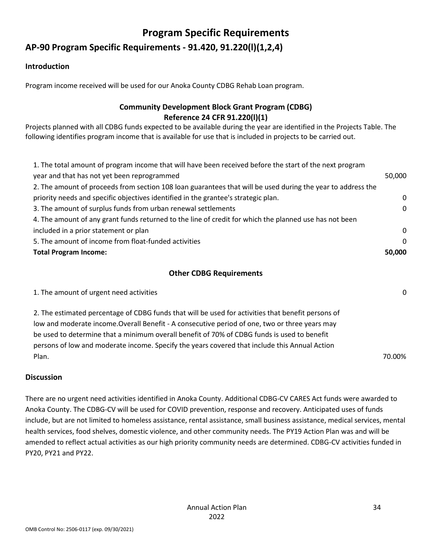# **Program Specific Requirements**

## **AP-90 Program Specific Requirements - 91.420, 91.220(l)(1,2,4)**

#### **Introduction**

Program income received will be used for our Anoka County CDBG Rehab Loan program.

### **Community Development Block Grant Program (CDBG) Reference 24 CFR 91.220(l)(1)**

Projects planned with all CDBG funds expected to be available during the year are identified in the Projects Table. The following identifies program income that is available for use that is included in projects to be carried out.

| 1. The total amount of program income that will have been received before the start of the next program     |          |
|-------------------------------------------------------------------------------------------------------------|----------|
| year and that has not yet been reprogrammed                                                                 | 50,000   |
| 2. The amount of proceeds from section 108 loan guarantees that will be used during the year to address the |          |
| priority needs and specific objectives identified in the grantee's strategic plan.                          | $\Omega$ |
| 3. The amount of surplus funds from urban renewal settlements                                               | $\Omega$ |
| 4. The amount of any grant funds returned to the line of credit for which the planned use has not been      |          |
| included in a prior statement or plan                                                                       | $\Omega$ |
| 5. The amount of income from float-funded activities                                                        | $\Omega$ |
| <b>Total Program Income:</b>                                                                                | 50.000   |

#### **Other CDBG Requirements**

| 1. The amount of urgent need activities                                                            | $\mathbf{0}$ |
|----------------------------------------------------------------------------------------------------|--------------|
| 2. The estimated percentage of CDBG funds that will be used for activities that benefit persons of |              |
| low and moderate income. Overall Benefit - A consecutive period of one, two or three years may     |              |
| be used to determine that a minimum overall benefit of 70% of CDBG funds is used to benefit        |              |
| persons of low and moderate income. Specify the years covered that include this Annual Action      |              |
| Plan.                                                                                              | 70.00%       |

#### **Discussion**

There are no urgent need activities identified in Anoka County. Additional CDBG-CV CARES Act funds were awarded to Anoka County. The CDBG-CV will be used for COVID prevention, response and recovery. Anticipated uses of funds include, but are not limited to homeless assistance, rental assistance, small business assistance, medical services, mental health services, food shelves, domestic violence, and other community needs. The PY19 Action Plan was and will be amended to reflect actual activities as our high priority community needs are determined. CDBG-CV activities funded in PY20, PY21 and PY22.